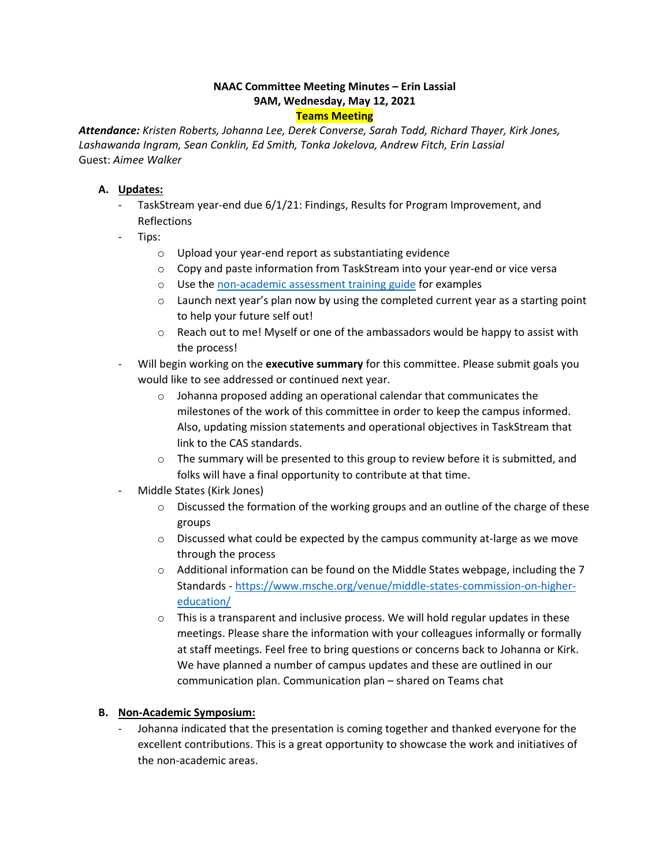# **NAAC Committee Meeting Minutes – Erin Lassial 9AM, Wednesday, May 12, 2021**

## **Teams Meeting**

*Attendance: Kristen Roberts, Johanna Lee, Derek Converse, Sarah Todd, Richard Thayer, Kirk Jones, Lashawanda Ingram, Sean Conklin, Ed Smith, Tonka Jokelova, Andrew Fitch, Erin Lassial*  Guest: *Aimee Walker* 

## **A. Updates:**

- - TaskStream year-end due 6/1/21: Findings, Results for Program Improvement, and Reflections
- Tips:
	- o Upload your year-end report as substantiating evidence
	- o Copy and paste information from TaskStream into your year-end or vice versa
	- o Use th[e non-academic assessment training guide f](https://www.canton.edu/media/pdf/Ambassador_Training_Guide.pdf)or examples
	- $\circ$  Launch next year's plan now by using the completed current year as a starting point to help your future self out!
	- $\circ$  Reach out to me! Myself or one of the ambassadors would be happy to assist with the process!
- Will begin working on the **executive summary** for this committee. Please submit goals you would like to see addressed or continued next year.
	- o Johanna proposed adding an operational calendar that communicates the milestones of the work of this committee in order to keep the campus informed. Also, updating mission statements and operational objectives in TaskStream that link to the CAS standards.
	- $\circ$  The summary will be presented to this group to review before it is submitted, and folks will have a final opportunity to contribute at that time.
- Middle States (Kirk Jones)
	- $\circ$  Discussed the formation of the working groups and an outline of the charge of these groups
	- $\circ$  Discussed what could be expected by the campus community at-large as we move through the process
	- [education/](https://www.msche.org/venue/middle-states-commission-on-higher-education/)  $\circ$  Additional information can be found on the Middle States webpage, including the 7 Standards - [https://www.msche.org/venue/middle-states-commission-on-higher-](https://www.msche.org/venue/middle-states-commission-on-higher-education/)
	- $\circ$  This is a transparent and inclusive process. We will hold regular updates in these meetings. Please share the information with your colleagues informally or formally at staff meetings. Feel free to bring questions or concerns back to Johanna or Kirk. We have planned a number of campus updates and these are outlined in our communication plan. Communication plan – shared on Teams chat

## **B. Non-Academic Symposium:**

Johanna indicated that the presentation is coming together and thanked everyone for the excellent contributions. This is a great opportunity to showcase the work and initiatives of the non-academic areas.